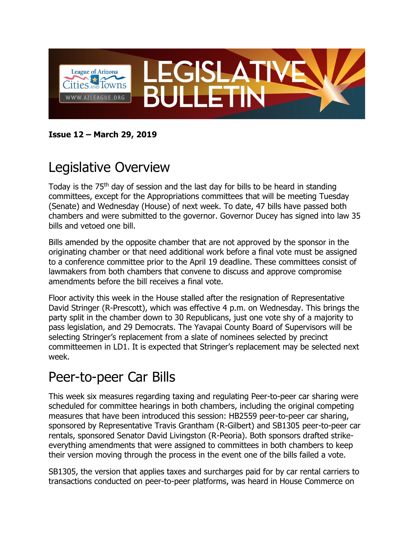

**Issue 12 – March 29, 2019**

# Legislative Overview

Today is the 75<sup>th</sup> day of session and the last day for bills to be heard in standing committees, except for the Appropriations committees that will be meeting Tuesday (Senate) and Wednesday (House) of next week. To date, 47 bills have passed both chambers and were submitted to the governor. Governor Ducey has signed into law 35 bills and vetoed one bill.

Bills amended by the opposite chamber that are not approved by the sponsor in the originating chamber or that need additional work before a final vote must be assigned to a conference committee prior to the April 19 deadline. These committees consist of lawmakers from both chambers that convene to discuss and approve compromise amendments before the bill receives a final vote.

Floor activity this week in the House stalled after the resignation of Representative David Stringer (R-Prescott), which was effective 4 p.m. on Wednesday. This brings the party split in the chamber down to 30 Republicans, just one vote shy of a majority to pass legislation, and 29 Democrats. The Yavapai County Board of Supervisors will be selecting Stringer's replacement from a slate of nominees selected by precinct committeemen in LD1. It is expected that Stringer's replacement may be selected next week.

#### Peer-to-peer Car Bills

This week six measures regarding taxing and regulating Peer-to-peer car sharing were scheduled for committee hearings in both chambers, including the original competing measures that have been introduced this session: HB2559 peer-to-peer car sharing, sponsored by Representative Travis Grantham (R-Gilbert) and SB1305 peer-to-peer car rentals, sponsored Senator David Livingston (R-Peoria). Both sponsors drafted strikeeverything amendments that were assigned to committees in both chambers to keep their version moving through the process in the event one of the bills failed a vote.

SB1305, the version that applies taxes and surcharges paid for by car rental carriers to transactions conducted on peer-to-peer platforms, was heard in House Commerce on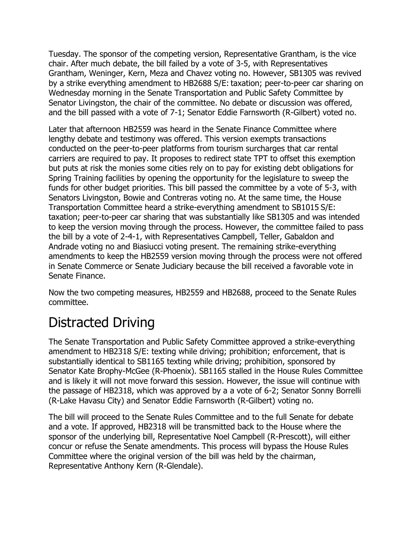Tuesday. The sponsor of the competing version, Representative Grantham, is the vice chair. After much debate, the bill failed by a vote of 3-5, with Representatives Grantham, Weninger, Kern, Meza and Chavez voting no. However, SB1305 was revived by a strike everything amendment to HB2688 S/E: taxation; peer-to-peer car sharing on Wednesday morning in the Senate Transportation and Public Safety Committee by Senator Livingston, the chair of the committee. No debate or discussion was offered, and the bill passed with a vote of 7-1; Senator Eddie Farnsworth (R-Gilbert) voted no.

Later that afternoon HB2559 was heard in the Senate Finance Committee where lengthy debate and testimony was offered. This version exempts transactions conducted on the peer-to-peer platforms from tourism surcharges that car rental carriers are required to pay. It proposes to redirect state TPT to offset this exemption but puts at risk the monies some cities rely on to pay for existing debt obligations for Spring Training facilities by opening the opportunity for the legislature to sweep the funds for other budget priorities. This bill passed the committee by a vote of 5-3, with Senators Livingston, Bowie and Contreras voting no. At the same time, the House Transportation Committee heard a strike-everything amendment to SB1015 S/E: taxation; peer-to-peer car sharing that was substantially like SB1305 and was intended to keep the version moving through the process. However, the committee failed to pass the bill by a vote of 2-4-1, with Representatives Campbell, Teller, Gabaldon and Andrade voting no and Biasiucci voting present. The remaining strike-everything amendments to keep the HB2559 version moving through the process were not offered in Senate Commerce or Senate Judiciary because the bill received a favorable vote in Senate Finance.

Now the two competing measures, HB2559 and HB2688, proceed to the Senate Rules committee.

## Distracted Driving

The Senate Transportation and Public Safety Committee approved a strike-everything amendment to HB2318 S/E: texting while driving; prohibition; enforcement, that is substantially identical to SB1165 texting while driving; prohibition, sponsored by Senator Kate Brophy-McGee (R-Phoenix). SB1165 stalled in the House Rules Committee and is likely it will not move forward this session. However, the issue will continue with the passage of HB2318, which was approved by a a vote of 6-2; Senator Sonny Borrelli (R-Lake Havasu City) and Senator Eddie Farnsworth (R-Gilbert) voting no.

The bill will proceed to the Senate Rules Committee and to the full Senate for debate and a vote. If approved, HB2318 will be transmitted back to the House where the sponsor of the underlying bill, Representative Noel Campbell (R-Prescott), will either concur or refuse the Senate amendments. This process will bypass the House Rules Committee where the original version of the bill was held by the chairman, Representative Anthony Kern (R-Glendale).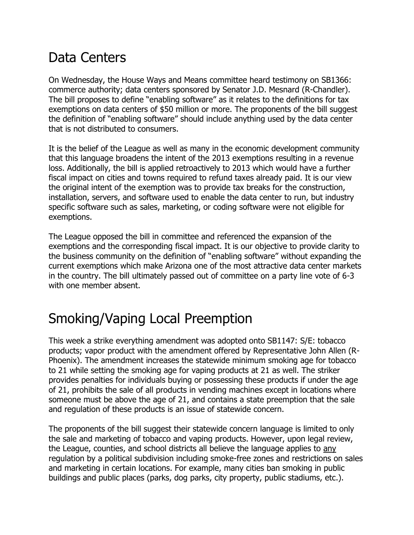#### Data Centers

On Wednesday, the House Ways and Means committee heard testimony on SB1366: commerce authority; data centers sponsored by Senator J.D. Mesnard (R-Chandler). The bill proposes to define "enabling software" as it relates to the definitions for tax exemptions on data centers of \$50 million or more. The proponents of the bill suggest the definition of "enabling software" should include anything used by the data center that is not distributed to consumers.

It is the belief of the League as well as many in the economic development community that this language broadens the intent of the 2013 exemptions resulting in a revenue loss. Additionally, the bill is applied retroactively to 2013 which would have a further fiscal impact on cities and towns required to refund taxes already paid. It is our view the original intent of the exemption was to provide tax breaks for the construction, installation, servers, and software used to enable the data center to run, but industry specific software such as sales, marketing, or coding software were not eligible for exemptions.

The League opposed the bill in committee and referenced the expansion of the exemptions and the corresponding fiscal impact. It is our objective to provide clarity to the business community on the definition of "enabling software" without expanding the current exemptions which make Arizona one of the most attractive data center markets in the country. The bill ultimately passed out of committee on a party line vote of 6-3 with one member absent.

## Smoking/Vaping Local Preemption

This week a strike everything amendment was adopted onto SB1147: S/E: tobacco products; vapor product with the amendment offered by Representative John Allen (R-Phoenix). The amendment increases the statewide minimum smoking age for tobacco to 21 while setting the smoking age for vaping products at 21 as well. The striker provides penalties for individuals buying or possessing these products if under the age of 21, prohibits the sale of all products in vending machines except in locations where someone must be above the age of 21, and contains a state preemption that the sale and regulation of these products is an issue of statewide concern.

The proponents of the bill suggest their statewide concern language is limited to only the sale and marketing of tobacco and vaping products. However, upon legal review, the League, counties, and school districts all believe the language applies to any regulation by a political subdivision including smoke-free zones and restrictions on sales and marketing in certain locations. For example, many cities ban smoking in public buildings and public places (parks, dog parks, city property, public stadiums, etc.).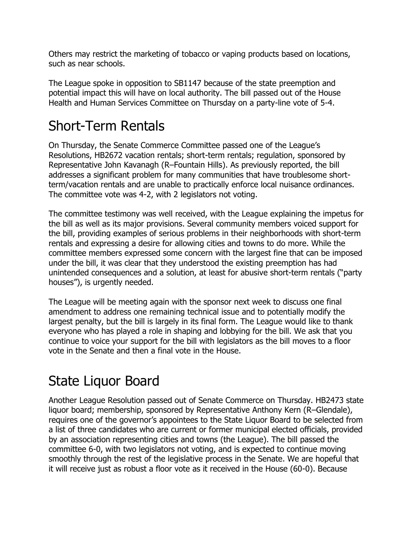Others may restrict the marketing of tobacco or vaping products based on locations, such as near schools.

The League spoke in opposition to SB1147 because of the state preemption and potential impact this will have on local authority. The bill passed out of the House Health and Human Services Committee on Thursday on a party-line vote of 5-4.

### Short-Term Rentals

On Thursday, the Senate Commerce Committee passed one of the League's Resolutions, HB2672 vacation rentals; short-term rentals; regulation, sponsored by Representative John Kavanagh (R–Fountain Hills). As previously reported, the bill addresses a significant problem for many communities that have troublesome shortterm/vacation rentals and are unable to practically enforce local nuisance ordinances. The committee vote was 4-2, with 2 legislators not voting.

The committee testimony was well received, with the League explaining the impetus for the bill as well as its major provisions. Several community members voiced support for the bill, providing examples of serious problems in their neighborhoods with short-term rentals and expressing a desire for allowing cities and towns to do more. While the committee members expressed some concern with the largest fine that can be imposed under the bill, it was clear that they understood the existing preemption has had unintended consequences and a solution, at least for abusive short-term rentals ("party houses"), is urgently needed.

The League will be meeting again with the sponsor next week to discuss one final amendment to address one remaining technical issue and to potentially modify the largest penalty, but the bill is largely in its final form. The League would like to thank everyone who has played a role in shaping and lobbying for the bill. We ask that you continue to voice your support for the bill with legislators as the bill moves to a floor vote in the Senate and then a final vote in the House.

## State Liquor Board

Another League Resolution passed out of Senate Commerce on Thursday. HB2473 state liquor board; membership, sponsored by Representative Anthony Kern (R–Glendale), requires one of the governor's appointees to the State Liquor Board to be selected from a list of three candidates who are current or former municipal elected officials, provided by an association representing cities and towns (the League). The bill passed the committee 6-0, with two legislators not voting, and is expected to continue moving smoothly through the rest of the legislative process in the Senate. We are hopeful that it will receive just as robust a floor vote as it received in the House (60-0). Because